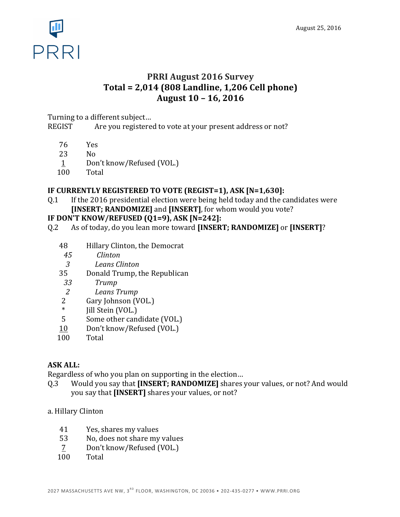

# **PRRI August 2016 Survey Total = 2,014 (808 Landline, 1,206 Cell phone) August 10 – 16, 2016**

Turning to a different subject...

REGIST Are you registered to vote at your present address or not?

- 76 Yes
- 23 No
- 1 Don't know/Refused (VOL.)
- 100 Total

# **IF CURRENTLY REGISTERED TO VOTE (REGIST=1), ASK [N=1,630]:**

Q.1 If the 2016 presidential election were being held today and the candidates were **[INSERT; RANDOMIZE]** and **[INSERT]**, for whom would you vote?

# **IF DON'T KNOW/REFUSED (Q1=9), ASK [N=242]:**

- Q.2 As of today, do you lean more toward [INSERT; RANDOMIZE] or [INSERT]?
	- 48 Hillary Clinton, the Democrat
	- *45 Clinton*
	- *3 Leans Clinton*
	- 35 Donald Trump, the Republican
	- *33 Trump*
	- *2 Leans Trump*
	- 2 Gary Johnson (VOL.)
	- Jill Stein (VOL.)
	- 5 Some other candidate (VOL.)
	- 10 Don't know/Refused (VOL.)
	- 100 Total

# **ASK ALL:**

Regardless of who you plan on supporting in the election...

- Q.3 Would you say that **[INSERT; RANDOMIZE]** shares your values, or not? And would you say that **[INSERT]** shares your values, or not?
- a. Hillary Clinton
	- 41 Yes, shares my values
	- 53 No, does not share my values
	- 7 Don't know/Refused (VOL.)
	- 100 Total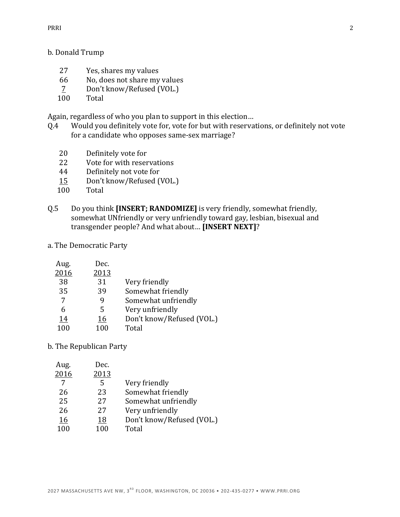#### b. Donald Trump

- 27 Yes, shares my values
- 66 No, does not share my values
- $\frac{7}{100}$  Don't know/Refused (VOL.)
- Total

Again, regardless of who you plan to support in this election...

- Q.4 Would you definitely vote for, vote for but with reservations, or definitely not vote for a candidate who opposes same-sex marriage?
	- 20 Definitely vote for
	- 22 Vote for with reservations
	- 44 Definitely not vote for
	- 15 Don't know/Refused (VOL.)
	- 100 Total
- Q.5 Do you think **[INSERT; RANDOMIZE]** is very friendly, somewhat friendly, somewhat UNfriendly or very unfriendly toward gay, lesbian, bisexual and transgender people? And what about... [INSERT NEXT]?
- a. The Democratic Party

| Aug. | Dec. |                           |
|------|------|---------------------------|
| 2016 | 2013 |                           |
| 38   | 31   | Very friendly             |
| 35   | 39   | Somewhat friendly         |
| 7    | g    | Somewhat unfriendly       |
| 6    | 5    | Very unfriendly           |
| 14   | 16   | Don't know/Refused (VOL.) |
| 100  | 100  | Total                     |

#### b. The Republican Party

| Aug. | Dec. |                           |
|------|------|---------------------------|
| 2016 | 2013 |                           |
|      | 5    | Very friendly             |
| 26   | 23   | Somewhat friendly         |
| 25   | 27   | Somewhat unfriendly       |
| 26   | 27   | Very unfriendly           |
| 16   | 18   | Don't know/Refused (VOL.) |
| 100  | 100  | Total                     |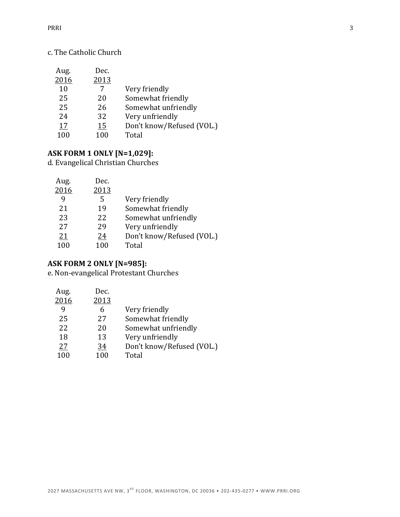# c. The Catholic Church

| Aug. | Dec. |                           |
|------|------|---------------------------|
| 2016 | 2013 |                           |
| 10   |      | Very friendly             |
| 25   | 20   | Somewhat friendly         |
| 25   | 26   | Somewhat unfriendly       |
| 24   | 32   | Very unfriendly           |
| 17   | 15   | Don't know/Refused (VOL.) |
| 100  | 100  | Total                     |

#### **ASK FORM 1 ONLY [N=1,029]:**

d. Evangelical Christian Churches

| Aug.      | Dec. |                           |
|-----------|------|---------------------------|
| 2016      | 2013 |                           |
| q         | 5    | Very friendly             |
| 21        | 19   | Somewhat friendly         |
| 23        | 22   | Somewhat unfriendly       |
| 27        | 29   | Very unfriendly           |
| <u>21</u> | 24   | Don't know/Refused (VOL.) |
| 100       | 100  | Total                     |
|           |      |                           |

# **ASK FORM 2 ONLY [N=985]:**

e. Non-evangelical Protestant Churches

| Aug. | Dec. |                           |
|------|------|---------------------------|
| 2016 | 2013 |                           |
| 9    | 6    | Very friendly             |
| 25   | 27   | Somewhat friendly         |
| 22   | 20   | Somewhat unfriendly       |
| 18   | 13   | Very unfriendly           |
| 27   | 34   | Don't know/Refused (VOL.) |
| 100  | 100  | Total                     |
|      |      |                           |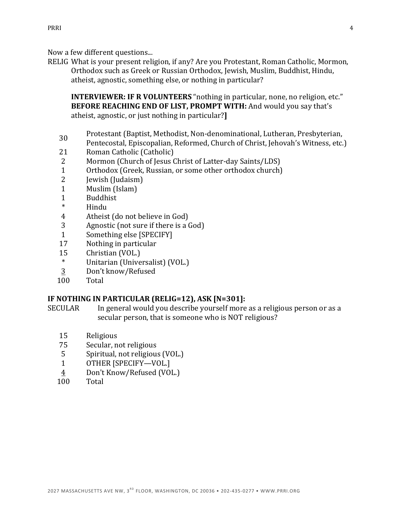Now a few different questions...

RELIG What is your present religion, if any? Are you Protestant, Roman Catholic, Mormon, Orthodox such as Greek or Russian Orthodox, Jewish, Muslim, Buddhist, Hindu, atheist, agnostic, something else, or nothing in particular?

**INTERVIEWER: IF R VOLUNTEERS** "nothing in particular, none, no religion, etc." **BEFORE REACHING END OF LIST, PROMPT WITH:** And would you say that's atheist, agnostic, or just nothing in particular?**I** 

- 30 Protestant (Baptist, Methodist, Non-denominational, Lutheran, Presbyterian,
- Pentecostal, Episcopalian, Reformed, Church of Christ, Jehovah's Witness, etc.)
- 21 Roman Catholic (Catholic)
- 2 Mormon (Church of Jesus Christ of Latter-day Saints/LDS)
- 1 Orthodox (Greek, Russian, or some other orthodox church)
- 2 Jewish (Judaism)
- 1 Muslim (Islam)
- 1 Buddhist
- \* Hindu
- 4 Atheist (do not believe in God)
- 3 Agnostic (not sure if there is a God)
- 1 Something else [SPECIFY]
- 17 Nothing in particular
- 15 Christian (VOL.)
- \* Unitarian (Universalist) (VOL.)
- 3 Don't know/Refused
- 100 Total

# **IF NOTHING IN PARTICULAR (RELIG=12), ASK [N=301]:**

- SECULAR In general would you describe yourself more as a religious person or as a secular person, that is someone who is NOT religious?
	- 15 Religious
	- 75 Secular, not religious
	- 5 Spiritual, not religious (VOL.)
	- 1 OTHER [SPECIFY-VOL.]
	- 4 Don't Know/Refused (VOL.)
	- 100 Total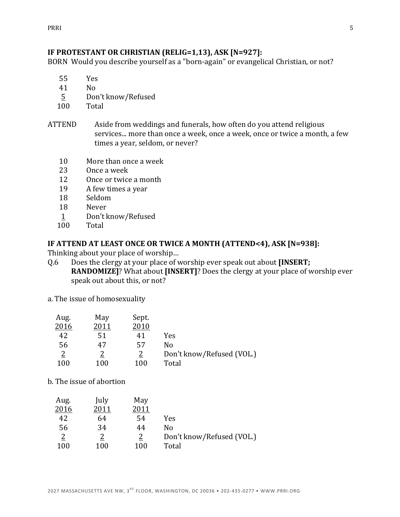## **IF PROTESTANT OR CHRISTIAN (RELIG=1,13), ASK [N=927]:**

BORN Would you describe yourself as a "born-again" or evangelical Christian, or not?

- 55 Yes
- 41 No
- 5 Don't know/Refused
- 100 Total
- ATTEND Aside from weddings and funerals, how often do you attend religious services... more than once a week, once a week, once or twice a month, a few times a year, seldom, or never?
	- 10 More than once a week
	- 23 Once a week
	- 12 Once or twice a month
	- 19 A few times a year
	- 18 Seldom
	- 18 Never
	- 1 Don't know/Refused
	- 100 Total

## **IF ATTEND AT LEAST ONCE OR TWICE A MONTH (ATTEND<4), ASK [N=938]:**

Thinking about your place of worship...

- Q.6 Does the clergy at your place of worship ever speak out about **[INSERT; RANDOMIZE]?** What about [INSERT]? Does the clergy at your place of worship ever speak out about this, or not?
- a. The issue of homosexuality

| Aug.           | May  | Sept. |                           |
|----------------|------|-------|---------------------------|
| 2016           | 2011 | 2010  |                           |
| 42             | 51   | 41    | Yes                       |
| 56             | 47   | 57    | N٥                        |
| $\overline{2}$ |      |       | Don't know/Refused (VOL.) |
| 100            | 100  | 100   | Total                     |

b. The issue of abortion

| Aug.           | July | May  |                           |
|----------------|------|------|---------------------------|
| 2016           | 2011 | 2011 |                           |
| 42             | 64   | 54   | Yes                       |
| 56             | 34   | 44   | N٥                        |
| $\overline{2}$ |      |      | Don't know/Refused (VOL.) |
| 100            | 100  | 100  | Total                     |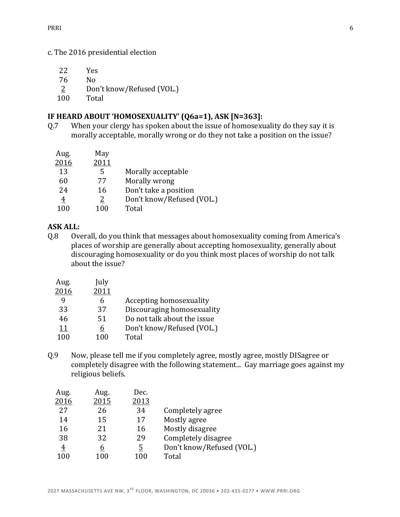#### c. The 2016 presidential election

- 22 Yes
- 76 No
- 2 Don't know/Refused (VOL.)
- 100 Total

### **IF HEARD ABOUT 'HOMOSEXUALITY' (Q6a=1), ASK [N=363]:**

Q.7 When your clergy has spoken about the issue of homosexuality do they say it is morally acceptable, morally wrong or do they not take a position on the issue?

| Aug.           | May  |                           |
|----------------|------|---------------------------|
| 2016           | 2011 |                           |
| 13             | 5    | Morally acceptable        |
| 60             | 77   | Morally wrong             |
| 24             | 16   | Don't take a position     |
| $\overline{4}$ | 2    | Don't know/Refused (VOL.) |
| 100            | 100  | Total                     |

## **ASK ALL:**

Q.8 Overall, do you think that messages about homosexuality coming from America's places of worship are generally about accepting homosexuality, generally about discouraging homosexuality or do you think most places of worship do not talk about the issue?

| Aug. | July |                             |
|------|------|-----------------------------|
| 2016 | 2011 |                             |
| q    | 6    | Accepting homosexuality     |
| 33   | 37   | Discouraging homosexuality  |
| 46   | 51   | Do not talk about the issue |
| 11   | 6    | Don't know/Refused (VOL.)   |
| 100  | 100  | Total                       |
|      |      |                             |

Q.9 Now, please tell me if you completely agree, mostly agree, mostly DISagree or completely disagree with the following statement... Gay marriage goes against my religious beliefs.

| Aug.           | Aug. | Dec.     |                           |
|----------------|------|----------|---------------------------|
| 2016           | 2015 | 2013     |                           |
| 27             | 26   | 34       | Completely agree          |
| 14             | 15   | 17       | Mostly agree              |
| 16             | 21   | 16       | Mostly disagree           |
| 38             | 32   | 29       | Completely disagree       |
| $\overline{4}$ | 6    | <u>5</u> | Don't know/Refused (VOL.) |
| 100            | 100  | 100      | Total                     |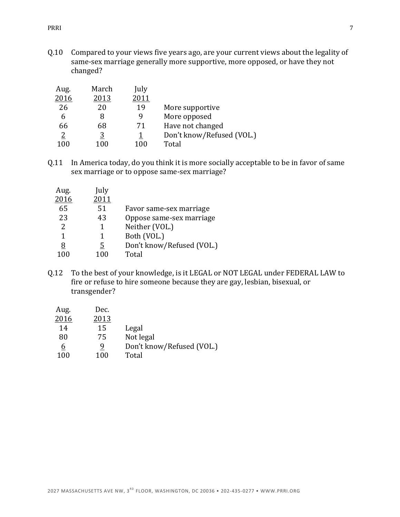Q.10 Compared to your views five years ago, are your current views about the legality of same-sex marriage generally more supportive, more opposed, or have they not changed?

| Aug.           | March    | July |                           |
|----------------|----------|------|---------------------------|
| 2016           | 2013     | 2011 |                           |
| 26             | 20       | 19   | More supportive           |
| 6              |          |      | More opposed              |
| 66             | 68       | 71   | Have not changed          |
| $\overline{2}$ | <u>3</u> |      | Don't know/Refused (VOL.) |
| 100            | 100      | 100  | Total                     |

Q.11 In America today, do you think it is more socially acceptable to be in favor of same sex marriage or to oppose same-sex marriage?

| Aug. | July |                           |
|------|------|---------------------------|
| 2016 | 2011 |                           |
| 65   | 51   | Favor same-sex marriage   |
| 23   | 43   | Oppose same-sex marriage  |
| 2    | 1    | Neither (VOL.)            |
| 1    | 1    | Both (VOL.)               |
| 8    | 5    | Don't know/Refused (VOL.) |
| 100  | 100  | Total                     |

Q.12 To the best of your knowledge, is it LEGAL or NOT LEGAL under FEDERAL LAW to fire or refuse to hire someone because they are gay, lesbian, bisexual, or transgender?

| Legal                     |
|---------------------------|
| Not legal                 |
| Don't know/Refused (VOL.) |
| Total                     |
|                           |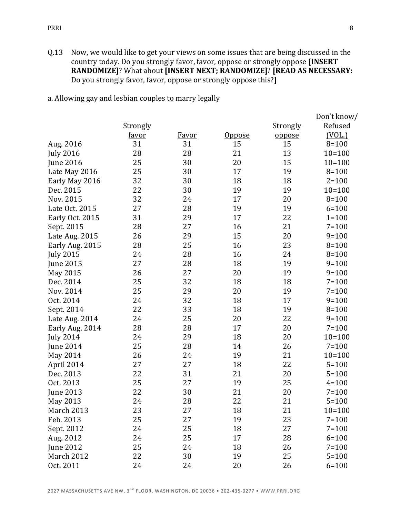Q.13 Now, we would like to get your views on some issues that are being discussed in the country today. Do you strongly favor, favor, oppose or strongly oppose [INSERT RANDOMIZE]? What about **[INSERT NEXT; RANDOMIZE]? [READ AS NECESSARY:** Do you strongly favor, favor, oppose or strongly oppose this?]

a. Allowing gay and lesbian couples to marry legally

|                  |          |              |               |          | Don't know/ |
|------------------|----------|--------------|---------------|----------|-------------|
|                  | Strongly |              |               | Strongly | Refused     |
|                  | favor    | <b>Favor</b> | <u>Oppose</u> | oppose   | (VOL.)      |
| Aug. 2016        | 31       | 31           | 15            | 15       | $8 = 100$   |
| <b>July 2016</b> | 28       | 28           | 21            | 13       | $10=100$    |
| <b>June 2016</b> | 25       | 30           | 20            | 15       | $10=100$    |
| Late May 2016    | 25       | 30           | 17            | 19       | $8 = 100$   |
| Early May 2016   | 32       | 30           | 18            | 18       | $2 = 100$   |
| Dec. 2015        | 22       | 30           | 19            | 19       | $10=100$    |
| Nov. 2015        | 32       | 24           | 17            | 20       | $8 = 100$   |
| Late Oct. 2015   | 27       | 28           | 19            | 19       | $6 = 100$   |
| Early Oct. 2015  | 31       | 29           | 17            | 22       | $1 = 100$   |
| Sept. 2015       | 28       | 27           | 16            | 21       | $7 = 100$   |
| Late Aug. 2015   | 26       | 29           | 15            | 20       | $9 = 100$   |
| Early Aug. 2015  | 28       | 25           | 16            | 23       | $8 = 100$   |
| <b>July 2015</b> | 24       | 28           | 16            | 24       | $8 = 100$   |
| <b>June 2015</b> | 27       | 28           | 18            | 19       | $9 = 100$   |
| May 2015         | 26       | 27           | 20            | 19       | $9 = 100$   |
| Dec. 2014        | 25       | 32           | 18            | 18       | $7 = 100$   |
| Nov. 2014        | 25       | 29           | 20            | 19       | $7 = 100$   |
| Oct. 2014        | 24       | 32           | 18            | 17       | $9 = 100$   |
| Sept. 2014       | 22       | 33           | 18            | 19       | $8 = 100$   |
| Late Aug. 2014   | 24       | 25           | 20            | 22       | $9 = 100$   |
| Early Aug. 2014  | 28       | 28           | 17            | 20       | $7 = 100$   |
| <b>July 2014</b> | 24       | 29           | 18            | 20       | $10=100$    |
| <b>June 2014</b> | 25       | 28           | 14            | 26       | $7 = 100$   |
| May 2014         | 26       | 24           | 19            | 21       | $10=100$    |
| April 2014       | 27       | 27           | 18            | 22       | $5 = 100$   |
| Dec. 2013        | 22       | 31           | 21            | 20       | $5 = 100$   |
| Oct. 2013        | 25       | 27           | 19            | 25       | $4 = 100$   |
| June 2013        | 22       | 30           | 21            | 20       | $7 = 100$   |
| May 2013         | 24       | 28           | 22            | 21       | $5 = 100$   |
| March 2013       | 23       | 27           | 18            | 21       | $10=100$    |
| Feb. 2013        | 25       | 27           | 19            | 23       | $7 = 100$   |
| Sept. 2012       | 24       | 25           | 18            | 27       | $7 = 100$   |
| Aug. 2012        | 24       | 25           | 17            | 28       | $6 = 100$   |
| June 2012        | 25       | 24           | 18            | 26       | $7 = 100$   |
| March 2012       | 22       | 30           | 19            | 25       | $5 = 100$   |
| Oct. 2011        | 24       | 24           | 20            | 26       | $6 = 100$   |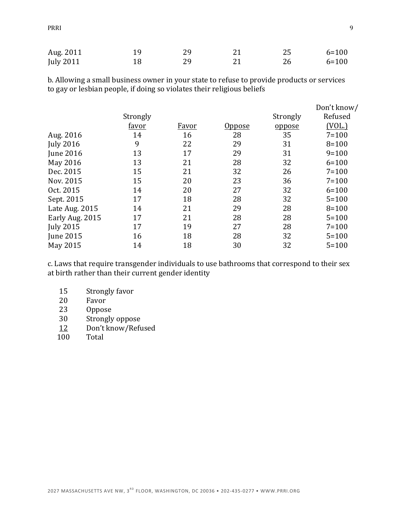| Aug. 2011 | 19 |  |    | $6 = 100$ |
|-----------|----|--|----|-----------|
| July 2011 |    |  | 26 | $6 = 100$ |

b. Allowing a small business owner in your state to refuse to provide products or services to gay or lesbian people, if doing so violates their religious beliefs

|                  |              |              |        |          | Don't know/ |
|------------------|--------------|--------------|--------|----------|-------------|
|                  | Strongly     |              |        | Strongly | Refused     |
|                  | <u>favor</u> | <u>Favor</u> | Oppose | oppose   | (VOL.)      |
| Aug. 2016        | 14           | 16           | 28     | 35       | $7 = 100$   |
| <b>July 2016</b> | 9            | 22           | 29     | 31       | $8 = 100$   |
| <b>June 2016</b> | 13           | 17           | 29     | 31       | $9=100$     |
| May 2016         | 13           | 21           | 28     | 32       | $6 = 100$   |
| Dec. 2015        | 15           | 21           | 32     | 26       | $7 = 100$   |
| Nov. 2015        | 15           | 20           | 23     | 36       | $7 = 100$   |
| Oct. 2015        | 14           | 20           | 27     | 32       | $6 = 100$   |
| Sept. 2015       | 17           | 18           | 28     | 32       | $5 = 100$   |
| Late Aug. 2015   | 14           | 21           | 29     | 28       | $8 = 100$   |
| Early Aug. 2015  | 17           | 21           | 28     | 28       | $5 = 100$   |
| <b>July 2015</b> | 17           | 19           | 27     | 28       | $7 = 100$   |
| <b>June 2015</b> | 16           | 18           | 28     | 32       | $5 = 100$   |
| May 2015         | 14           | 18           | 30     | 32       | $5 = 100$   |

c. Laws that require transgender individuals to use bathrooms that correspond to their sex at birth rather than their current gender identity

- 15 Strongly favor
- 20 Favor
- 23 Oppose
- 30 Strongly oppose
- 12 Don't know/Refused
- 100 Total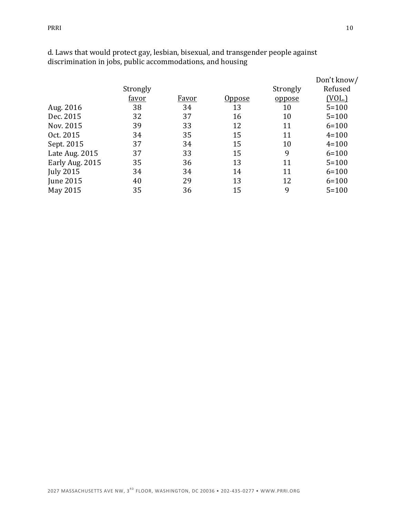|                  | Strongly<br>favor | Favor | Oppose | Strongly<br>oppose | Don't know/<br>Refused<br>(VOL.) |
|------------------|-------------------|-------|--------|--------------------|----------------------------------|
| Aug. 2016        | 38                | 34    | 13     | 10                 | $5 = 100$                        |
| Dec. 2015        | 32                | 37    | 16     | 10                 | $5 = 100$                        |
| Nov. 2015        | 39                | 33    | 12     | 11                 | $6 = 100$                        |
| Oct. 2015        | 34                | 35    | 15     | 11                 | $4 = 100$                        |
| Sept. 2015       | 37                | 34    | 15     | 10                 | $4 = 100$                        |
| Late Aug. 2015   | 37                | 33    | 15     | 9                  | $6 = 100$                        |
| Early Aug. 2015  | 35                | 36    | 13     | 11                 | $5 = 100$                        |
| <b>July 2015</b> | 34                | 34    | 14     | 11                 | $6 = 100$                        |

June 2015 40 29 13 12 6=100 May 2015 35 36 15 9 5=100

d. Laws that would protect gay, lesbian, bisexual, and transgender people against discrimination in jobs, public accommodations, and housing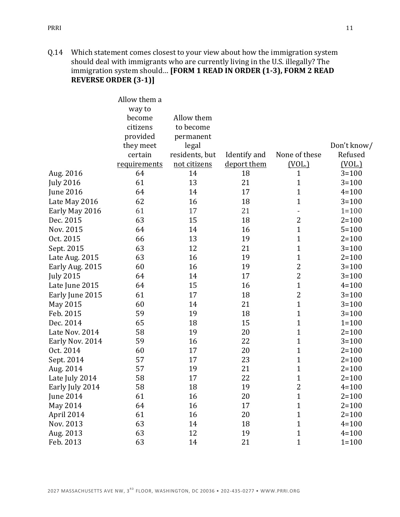Q.14 Which statement comes closest to your view about how the immigration system should deal with immigrants who are currently living in the U.S. illegally? The immigration system should... [FORM 1 READ IN ORDER (1-3), FORM 2 READ **REVERSE ORDER (3-1)]** 

|                  | Allow them a<br>way to |                         |              |                |             |
|------------------|------------------------|-------------------------|--------------|----------------|-------------|
|                  | become<br>citizens     | Allow them<br>to become |              |                |             |
|                  | provided               | permanent               |              |                |             |
|                  | they meet              | legal                   |              |                | Don't know/ |
|                  | certain                | residents, but          | Identify and | None of these  | Refused     |
|                  | requirements           | not citizens            | deport them  | (VOL.)         | (VOL.)      |
| Aug. 2016        | 64                     | 14                      | 18           | 1              | $3 = 100$   |
| <b>July 2016</b> | 61                     | 13                      | 21           | $\mathbf{1}$   | $3 = 100$   |
| <b>June 2016</b> | 64                     | 14                      | 17           | 1              | $4 = 100$   |
| Late May 2016    | 62                     | 16                      | 18           | $\mathbf{1}$   | $3 = 100$   |
| Early May 2016   | 61                     | 17                      | 21           |                | $1 = 100$   |
| Dec. 2015        | 63                     | 15                      | 18           | $\overline{2}$ | $2 = 100$   |
| Nov. 2015        | 64                     | 14                      | 16           | $\mathbf{1}$   | $5 = 100$   |
| Oct. 2015        | 66                     | 13                      | 19           | 1              | $2 = 100$   |
| Sept. 2015       | 63                     | 12                      | 21           | $\mathbf{1}$   | $3 = 100$   |
| Late Aug. 2015   | 63                     | 16                      | 19           | $\mathbf{1}$   | $2 = 100$   |
| Early Aug. 2015  | 60                     | 16                      | 19           | $\overline{2}$ | $3 = 100$   |
| <b>July 2015</b> | 64                     | 14                      | 17           | 2              | $3 = 100$   |
| Late June 2015   | 64                     | 15                      | 16           | $\mathbf{1}$   | $4 = 100$   |
| Early June 2015  | 61                     | 17                      | 18           | 2              | $3 = 100$   |
| May 2015         | 60                     | 14                      | 21           | $\mathbf{1}$   | $3 = 100$   |
| Feb. 2015        | 59                     | 19                      | 18           | $\mathbf{1}$   | $3 = 100$   |
| Dec. 2014        | 65                     | 18                      | 15           | $\mathbf 1$    | $1 = 100$   |
| Late Nov. 2014   | 58                     | 19                      | 20           | $\mathbf 1$    | $2 = 100$   |
| Early Nov. 2014  | 59                     | 16                      | 22           | $\mathbf{1}$   | $3 = 100$   |
| Oct. 2014        | 60                     | 17                      | 20           | $\mathbf 1$    | $2 = 100$   |
| Sept. 2014       | 57                     | 17                      | 23           | $\mathbf{1}$   | $2 = 100$   |
| Aug. 2014        | 57                     | 19                      | 21           | $\mathbf{1}$   | $2 = 100$   |
| Late July 2014   | 58                     | 17                      | 22           | $\mathbf 1$    | $2 = 100$   |
| Early July 2014  | 58                     | 18                      | 19           | $\overline{c}$ | $4 = 100$   |
| <b>June 2014</b> | 61                     | 16                      | 20           | $\mathbf{1}$   | $2 = 100$   |
| May 2014         | 64                     | 16                      | 17           | $\mathbf{1}$   | $2 = 100$   |
| April 2014       | 61                     | 16                      | 20           | $\mathbf{1}$   | $2 = 100$   |
| Nov. 2013        | 63                     | 14                      | 18           | $\mathbf{1}$   | $4 = 100$   |
| Aug. 2013        | 63                     | 12                      | 19           | $\mathbf{1}$   | $4 = 100$   |
| Feb. 2013        | 63                     | 14                      | 21           | $\mathbf{1}$   | $1 = 100$   |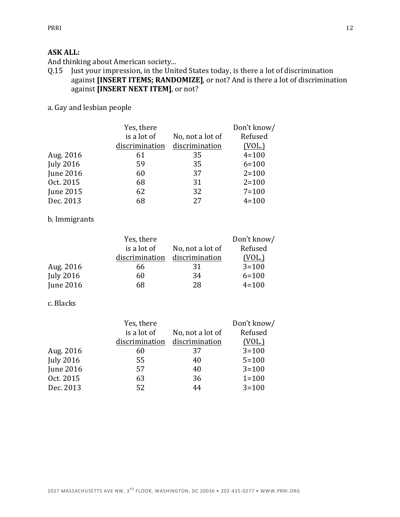## **ASK ALL:**

And thinking about American society...

Q.15 Just your impression, in the United States today, is there a lot of discrimination against **[INSERT ITEMS; RANDOMIZE]**, or not? And is there a lot of discrimination against [INSERT NEXT ITEM], or not?

# a. Gay and lesbian people

|                  | Yes, there     |                  | Don't know/ |
|------------------|----------------|------------------|-------------|
|                  | is a lot of    | No, not a lot of | Refused     |
|                  | discrimination | discrimination   | (VOL.)      |
| Aug. 2016        | 61             | 35               | $4 = 100$   |
| <b>July 2016</b> | 59             | 35               | $6 = 100$   |
| <b>June 2016</b> | 60             | 37               | $2 = 100$   |
| Oct. 2015        | 68             | 31               | $2 = 100$   |
| June 2015        | 62             | 32               | $7 = 100$   |
| Dec. 2013        | 68             | 27               | $4 = 100$   |

#### b. Immigrants

|                  | Yes, there     |                  | Don't know/ |
|------------------|----------------|------------------|-------------|
|                  | is a lot of    | No, not a lot of | Refused     |
|                  | discrimination | discrimination   | (VOL.)      |
| Aug. 2016        | 66             | 31               | $3 = 100$   |
| <b>July 2016</b> | 60             | 34               | $6 = 100$   |
| <b>June 2016</b> | 68             | 28               | $4 = 100$   |

## c. Blacks

|                  | Yes, there     |                  | Don't know/   |
|------------------|----------------|------------------|---------------|
|                  | is a lot of    | No, not a lot of | Refused       |
|                  | discrimination | discrimination   | <u>(VOL.)</u> |
| Aug. 2016        | 60             | 37               | $3 = 100$     |
| <b>July 2016</b> | 55             | 40               | $5 = 100$     |
| June 2016        | 57             | 40               | $3 = 100$     |
| Oct. 2015        | 63             | 36               | $1 = 100$     |
| Dec. 2013        | 52             | 44               | $3 = 100$     |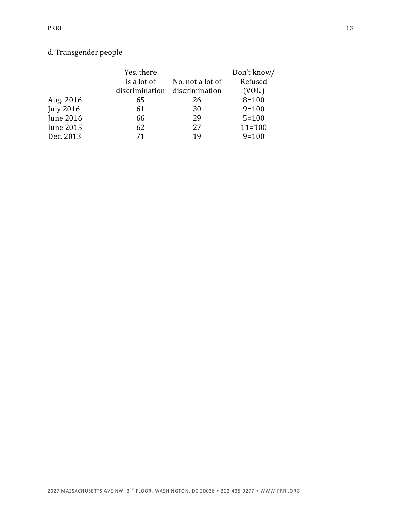# d. Transgender people

|                  | Yes, there     |                  | Don't know/   |
|------------------|----------------|------------------|---------------|
|                  | is a lot of    | No, not a lot of | Refused       |
|                  | discrimination | discrimination   | <u>(VOL.)</u> |
| Aug. 2016        | 65             | 26               | $8 = 100$     |
| <b>July 2016</b> | 61             | 30               | $9=100$       |
| June 2016        | 66             | 29               | $5 = 100$     |
| June 2015        | 62             | 27               | $11 = 100$    |
| Dec. 2013        | 71             | 19               | $9=100$       |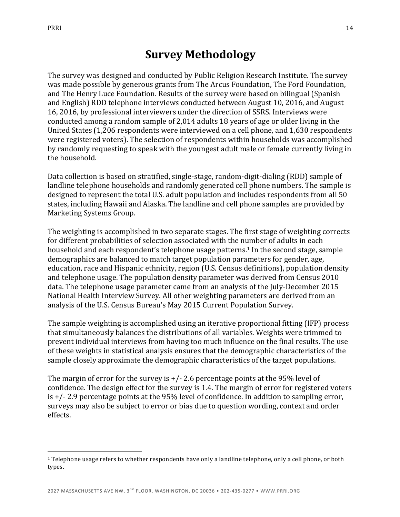<u>.</u>

# **Survey Methodology**

The survey was designed and conducted by Public Religion Research Institute. The survey was made possible by generous grants from The Arcus Foundation, The Ford Foundation, and The Henry Luce Foundation. Results of the survey were based on bilingual (Spanish and English) RDD telephone interviews conducted between August 10, 2016, and August 16, 2016, by professional interviewers under the direction of SSRS. Interviews were conducted among a random sample of 2,014 adults 18 years of age or older living in the United States (1,206 respondents were interviewed on a cell phone, and 1,630 respondents were registered voters). The selection of respondents within households was accomplished by randomly requesting to speak with the youngest adult male or female currently living in the household.

Data collection is based on stratified, single-stage, random-digit-dialing (RDD) sample of landline telephone households and randomly generated cell phone numbers. The sample is designed to represent the total U.S. adult population and includes respondents from all 50 states, including Hawaii and Alaska. The landline and cell phone samples are provided by Marketing Systems Group.

The weighting is accomplished in two separate stages. The first stage of weighting corrects for different probabilities of selection associated with the number of adults in each household and each respondent's telephone usage patterns.<sup>1</sup> In the second stage, sample demographics are balanced to match target population parameters for gender, age, education, race and Hispanic ethnicity, region (U.S. Census definitions), population density and telephone usage. The population density parameter was derived from Census 2010 data. The telephone usage parameter came from an analysis of the July-December 2015 National Health Interview Survey. All other weighting parameters are derived from an analysis of the U.S. Census Bureau's May 2015 Current Population Survey.

The sample weighting is accomplished using an iterative proportional fitting (IFP) process that simultaneously balances the distributions of all variables. Weights were trimmed to prevent individual interviews from having too much influence on the final results. The use of these weights in statistical analysis ensures that the demographic characteristics of the sample closely approximate the demographic characteristics of the target populations.

The margin of error for the survey is  $+/-$  2.6 percentage points at the 95% level of confidence. The design effect for the survey is 1.4. The margin of error for registered voters is  $+/-$  2.9 percentage points at the 95% level of confidence. In addition to sampling error, surveys may also be subject to error or bias due to question wording, context and order effects.

 $1$  Telephone usage refers to whether respondents have only a landline telephone, only a cell phone, or both types.